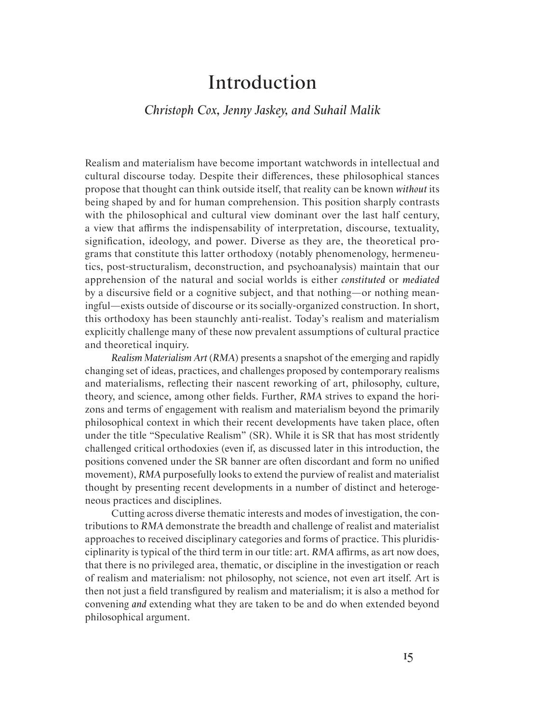# Introduction

## *Christoph Cox, Jenny Jaskey, and Suhail Malik*

Realism and materialism have become important watchwords in intellectual and cultural discourse today. Despite their differences, these philosophical stances propose that thought can think outside itself, that reality can be known *without* its being shaped by and for human comprehension. This position sharply contrasts with the philosophical and cultural view dominant over the last half century, a view that affirms the indispensability of interpretation, discourse, textuality, signification, ideology, and power. Diverse as they are, the theoretical programs that constitute this latter orthodoxy (notably phenomenology, hermeneutics, post-structuralism, deconstruction, and psychoanalysis) maintain that our apprehension of the natural and social worlds is either *constituted* or *mediated*  by a discursive #eld or a cognitive subject, and that nothing—or nothing meaningful—exists outside of discourse or its socially-organized construction. In short, this orthodoxy has been staunchly anti-realist. Today's realism and materialism explicitly challenge many of these now prevalent assumptions of cultural practice and theoretical inquiry.

*Realism Materialism Art* (*RMA*) presents a snapshot of the emerging and rapidly changing set of ideas, practices, and challenges proposed by contemporary realisms and materialisms, reflecting their nascent reworking of art, philosophy, culture, theory, and science, among other #elds. Further, *RMA* strives to expand the horizons and terms of engagement with realism and materialism beyond the primarily philosophical context in which their recent developments have taken place, often under the title "Speculative Realism" (SR). While it is SR that has most stridently challenged critical orthodoxies (even if, as discussed later in this introduction, the positions convened under the SR banner are often discordant and form no unified movement), *RMA* purposefully looks to extend the purview of realist and materialist thought by presenting recent developments in a number of distinct and heterogeneous practices and disciplines.

Cutting across diverse thematic interests and modes of investigation, the contributions to *RMA* demonstrate the breadth and challenge of realist and materialist approaches to received disciplinary categories and forms of practice. This pluridisciplinarity is typical of the third term in our title: art. *RMA* affirms, as art now does, that there is no privileged area, thematic, or discipline in the investigation or reach of realism and materialism: not philosophy, not science, not even art itself. Art is then not just a field transfigured by realism and materialism; it is also a method for convening *and* extending what they are taken to be and do when extended beyond philosophical argument.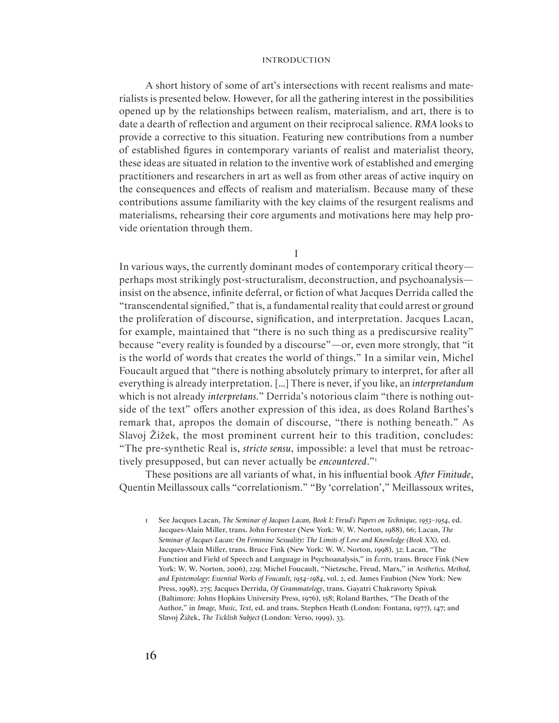A short history of some of art's intersections with recent realisms and materialists is presented below. However, for all the gathering interest in the possibilities opened up by the relationships between realism, materialism, and art, there is to date a dearth of reflection and argument on their reciprocal salience. *RMA* looks to provide a corrective to this situation. Featuring new contributions from a number of established figures in contemporary variants of realist and materialist theory, these ideas are situated in relation to the inventive work of established and emerging practitioners and researchers in art as well as from other areas of active inquiry on the consequences and effects of realism and materialism. Because many of these contributions assume familiarity with the key claims of the resurgent realisms and materialisms, rehearsing their core arguments and motivations here may help provide orientation through them.

I

In various ways, the currently dominant modes of contemporary critical theory perhaps most strikingly post-structuralism, deconstruction, and psychoanalysis insist on the absence, infinite deferral, or fiction of what Jacques Derrida called the "transcendental signified," that is, a fundamental reality that could arrest or ground the proliferation of discourse, signification, and interpretation. Jacques Lacan, for example, maintained that "there is no such thing as a prediscursive reality" because "every reality is founded by a discourse"—or, even more strongly, that "it is the world of words that creates the world of things." In a similar vein, Michel Foucault argued that "there is nothing absolutely primary to interpret, for after all everything is already interpretation. […] There is never, if you like, an *interpretandum* which is not already *interpretans*." Derrida's notorious claim "there is nothing outside of the text" offers another expression of this idea, as does Roland Barthes's remark that, apropos the domain of discourse, "there is nothing beneath." As Slavoj Žižek, the most prominent current heir to this tradition, concludes: "The pre-synthetic Real is, *stricto sensu*, impossible: a level that must be retroactively presupposed, but can never actually be *encountered*."1

These positions are all variants of what, in his influential book *After Finitude*, Quentin Meillassoux calls "correlationism." "By 'correlation'," Meillassoux writes,

1 See Jacques Lacan, *The Seminar of Jacques Lacan, Book I: Freud's Papers on Technique, 1953–1954*, ed. Jacques-Alain Miller, trans. John Forrester (New York: W. W. Norton, 1988), 66; Lacan, *The Seminar of Jacques Lacan: On Feminine Sexuality: The Limits of Love and Knowledge (Book XX),* ed. Jacques-Alain Miller, trans. Bruce Fink (New York: W. W. Norton, 1998), 32; Lacan, "The Function and Field of Speech and Language in Psychoanalysis," in *Écrits*, trans. Bruce Fink (New York: W. W. Norton, 2006), 229; Michel Foucault, "Nietzsche, Freud, Marx," in *Aesthetics, Method, and Epistemology: Essential Works of Foucault, 1954–1984*, vol. 2, ed. James Faubion (New York: New Press, 1998), 275; Jacques Derrida, *Of Grammatology*, trans. Gayatri Chakravorty Spivak (Baltimore: Johns Hopkins University Press, 1976), 158; Roland Barthes, "The Death of the Author," in *Image, Music, Text*, ed. and trans. Stephen Heath (London: Fontana, 1977), 147; and Slavoj Žižek, *The Ticklish Subject* (London: Verso, 1999), 33.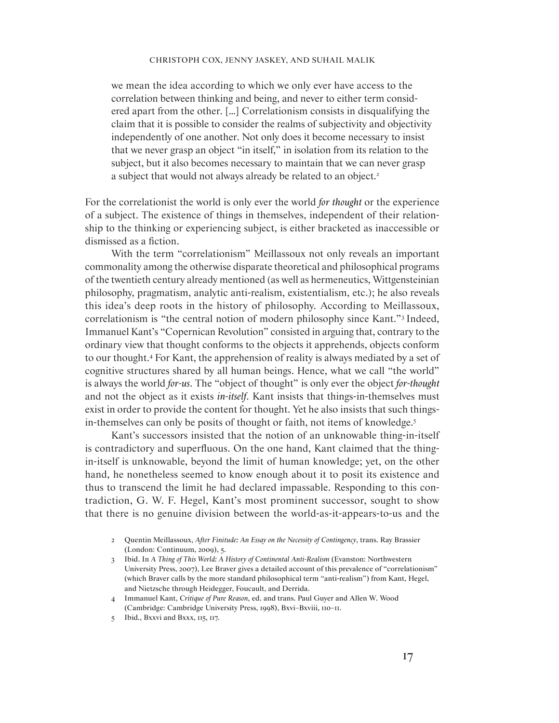we mean the idea according to which we only ever have access to the correlation between thinking and being, and never to either term considered apart from the other. […] Correlationism consists in disqualifying the claim that it is possible to consider the realms of subjectivity and objectivity independently of one another. Not only does it become necessary to insist that we never grasp an object "in itself," in isolation from its relation to the subject, but it also becomes necessary to maintain that we can never grasp a subject that would not always already be related to an object.<sup>2</sup>

For the correlationist the world is only ever the world *for thought* or the experience of a subject. The existence of things in themselves, independent of their relationship to the thinking or experiencing subject, is either bracketed as inaccessible or dismissed as a fiction.

With the term "correlationism" Meillassoux not only reveals an important commonality among the otherwise disparate theoretical and philosophical programs of the twentieth century already mentioned (as well as hermeneutics, Wittgensteinian philosophy, pragmatism, analytic anti-realism, existentialism, etc.); he also reveals this idea's deep roots in the history of philosophy. According to Meillassoux, correlationism is "the central notion of modern philosophy since Kant."3 Indeed, Immanuel Kant's "Copernican Revolution" consisted in arguing that, contrary to the ordinary view that thought conforms to the objects it apprehends, objects conform to our thought.4 For Kant, the apprehension of reality is always mediated by a set of cognitive structures shared by all human beings. Hence, what we call "the world" is always the world *for-us*. The "object of thought" is only ever the object *for-thought* and not the object as it exists *in-itself*. Kant insists that things-in-themselves must exist in order to provide the content for thought. Yet he also insists that such thingsin-themselves can only be posits of thought or faith, not items of knowledge.<sup>5</sup>

Kant's successors insisted that the notion of an unknowable thing-in-itself is contradictory and superfluous. On the one hand, Kant claimed that the thingin-itself is unknowable, beyond the limit of human knowledge; yet, on the other hand, he nonetheless seemed to know enough about it to posit its existence and thus to transcend the limit he had declared impassable. Responding to this contradiction, G. W. F. Hegel, Kant's most prominent successor, sought to show that there is no genuine division between the world-as-it-appears-to-us and the

- 3 Ibid. In *A Thing of This World: A History of Continental Anti-Realism* (Evanston: Northwestern University Press, 2007), Lee Braver gives a detailed account of this prevalence of "correlationism" (which Braver calls by the more standard philosophical term "anti-realism") from Kant, Hegel, and Nietzsche through Heidegger, Foucault, and Derrida.
- 4 Immanuel Kant, *Critique of Pure Reason*, ed. and trans. Paul Guyer and Allen W. Wood (Cambridge: Cambridge University Press, 1998), Bxvi–Bxviii, 110–11.
- 5 Ibid*.*, Bxxvi and Bxxx, 115, 117.

<sup>2</sup> Quentin Meillassoux, *After Finitude: An Essay on the Necessity of Contingency*, trans. Ray Brassier (London: Continuum, 2009), 5.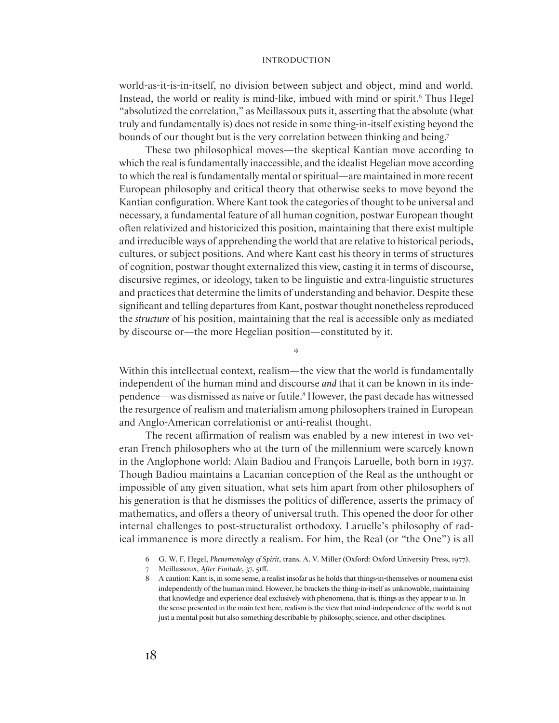world-as-it-is-in-itself, no division between subject and object, mind and world. Instead, the world or reality is mind-like, imbued with mind or spirit.<sup>6</sup> Thus Hegel "absolutized the correlation," as Meillassoux puts it, asserting that the absolute (what truly and fundamentally is) does not reside in some thing-in-itself existing beyond the bounds of our thought but is the very correlation between thinking and being.<sup>7</sup>

These two philosophical moves—the skeptical Kantian move according to which the real is fundamentally inaccessible, and the idealist Hegelian move according to which the real is fundamentally mental or spiritual—are maintained in more recent European philosophy and critical theory that otherwise seeks to move beyond the Kantian configuration. Where Kant took the categories of thought to be universal and necessary, a fundamental feature of all human cognition, postwar European thought often relativized and historicized this position, maintaining that there exist multiple and irreducible ways of apprehending the world that are relative to historical periods, cultures, or subject positions. And where Kant cast his theory in terms of structures of cognition, postwar thought externalized this view, casting it in terms of discourse, discursive regimes, or ideology, taken to be linguistic and extra-linguistic structures and practices that determine the limits of understanding and behavior. Despite these significant and telling departures from Kant, postwar thought nonetheless reproduced the *structure* of his position, maintaining that the real is accessible only as mediated by discourse or—the more Hegelian position—constituted by it.

Within this intellectual context, realism—the view that the world is fundamentally independent of the human mind and discourse *and* that it can be known in its independence—was dismissed as naive or futile.8 However, the past decade has witnessed the resurgence of realism and materialism among philosophers trained in European and Anglo-American correlationist or anti-realist thought.

\*

The recent affirmation of realism was enabled by a new interest in two veteran French philosophers who at the turn of the millennium were scarcely known in the Anglophone world: Alain Badiou and François Laruelle, both born in 1937. Though Badiou maintains a Lacanian conception of the Real as the unthought or impossible of any given situation, what sets him apart from other philosophers of his generation is that he dismisses the politics of difference, asserts the primacy of mathematics, and offers a theory of universal truth. This opened the door for other internal challenges to post-structuralist orthodoxy. Laruelle's philosophy of radical immanence is more directly a realism. For him, the Real (or "the One") is all

- 6 G. W. F. Hegel, *Phenomenology of Spirit*, trans. A. V. Miller (Oxford: Oxford University Press, 1977).
- 7 Meillassoux, *After Finitude*, 37, 51#.
- 8 A caution: Kant is, in some sense, a realist insofar as he holds that things-in-themselves or noumena exist independently of the human mind. However, he brackets the thing-in-itself as unknowable, maintaining that knowledge and experience deal exclusively with phenomena, that is, things as they appear *to us*. In the sense presented in the main text here, realism is the view that mind-independence of the world is not just a mental posit but also something describable by philosophy, science, and other disciplines.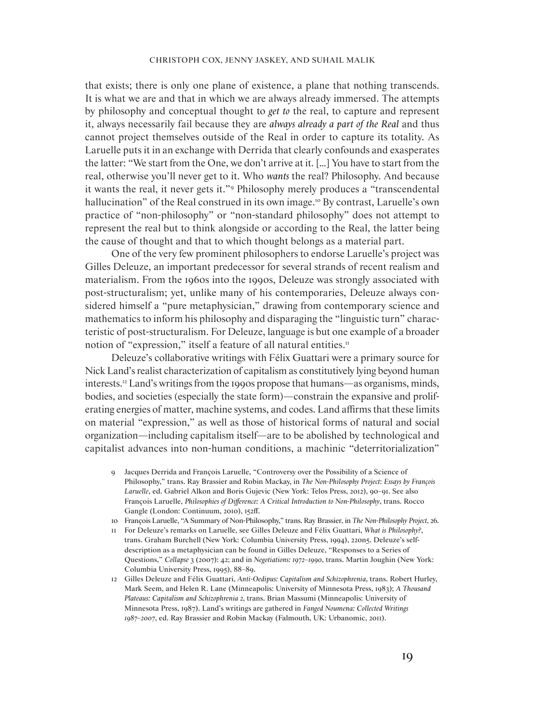that exists; there is only one plane of existence, a plane that nothing transcends. It is what we are and that in which we are always already immersed. The attempts by philosophy and conceptual thought to *get to* the real, to capture and represent it, always necessarily fail because they are *always already a part of the Real* and thus cannot project themselves outside of the Real in order to capture its totality. As Laruelle puts it in an exchange with Derrida that clearly confounds and exasperates the latter: "We start from the One, we don't arrive at it. […] You have to start from the real, otherwise you'll never get to it. Who *wants* the real? Philosophy. And because it wants the real, it never gets it."9 Philosophy merely produces a "transcendental hallucination" of the Real construed in its own image.<sup>10</sup> By contrast, Laruelle's own practice of "non-philosophy" or "non-standard philosophy" does not attempt to represent the real but to think alongside or according to the Real, the latter being the cause of thought and that to which thought belongs as a material part.

One of the very few prominent philosophers to endorse Laruelle's project was Gilles Deleuze, an important predecessor for several strands of recent realism and materialism. From the 1960s into the 1990s, Deleuze was strongly associated with post-structuralism; yet, unlike many of his contemporaries, Deleuze always considered himself a "pure metaphysician," drawing from contemporary science and mathematics to inform his philosophy and disparaging the "linguistic turn" characteristic of post-structuralism. For Deleuze, language is but one example of a broader notion of "expression," itself a feature of all natural entities.<sup>11</sup>

Deleuze's collaborative writings with Félix Guattari were a primary source for Nick Land's realist characterization of capitalism as constitutively lying beyond human interests.12 Land's writings from the 1990s propose that humans—as organisms, minds, bodies, and societies (especially the state form)—constrain the expansive and proliferating energies of matter, machine systems, and codes. Land affirms that these limits on material "expression," as well as those of historical forms of natural and social organization—including capitalism itself—are to be abolished by technological and capitalist advances into non-human conditions, a machinic "deterritorialization"

- 9 Jacques Derrida and François Laruelle, "Controversy over the Possibility of a Science of Philosophy," trans. Ray Brassier and Robin Mackay, in *The Non-Philosophy Project*: *Essays by François Laruelle*, ed. Gabriel Alkon and Boris Gujevic (New York: Telos Press, 2012), 90–91. See also François Laruelle, *Philosophies of Di!erence: A Critical Introduction to Non-Philosophy*, trans. Rocco Gangle (London: Continuum, 2010), 152ff.
- 10 François Laruelle, "A Summary of Non-Philosophy," trans. Ray Brassier, in *The Non-Philosophy Project*, 26.
- 11 For Deleuze's remarks on Laruelle, see Gilles Deleuze and Félix Guattari, *What is Philosophy?*, trans. Graham Burchell (New York: Columbia University Press, 1994), 220n5. Deleuze's selfdescription as a metaphysician can be found in Gilles Deleuze, "Responses to a Series of Questions," *Collapse* 3 (2007): 42; and in *Negotiations: 1972–1990*, trans. Martin Joughin (New York: Columbia University Press, 1995), 88–89.
- 12 Gilles Deleuze and Félix Guattari, *Anti-Oedipus: Capitalism and Schizophrenia*, trans. Robert Hurley, Mark Seem, and Helen R. Lane (Minneapolis: University of Minnesota Press, 1983); *A Thousand Plateaus: Capitalism and Schizophrenia 2*, trans. Brian Massumi (Minneapolis: University of Minnesota Press, 1987). Land's writings are gathered in *Fanged Noumena: Collected Writings 1987–2007*, ed. Ray Brassier and Robin Mackay (Falmouth, UK: Urbanomic, 2011).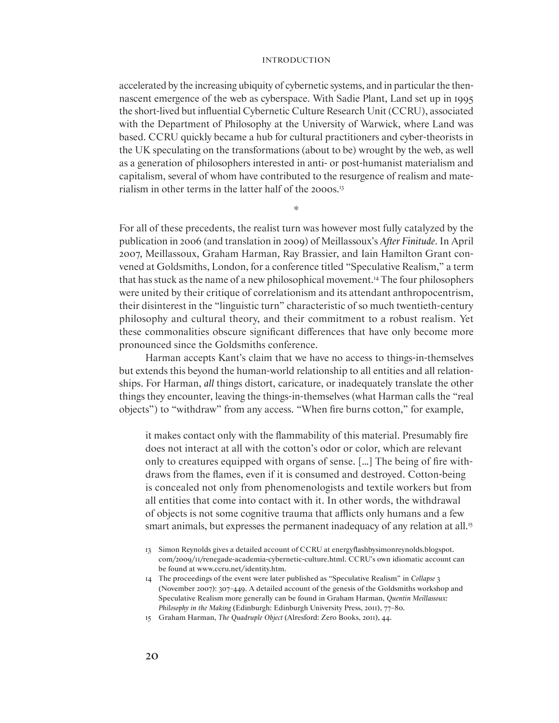accelerated by the increasing ubiquity of cybernetic systems, and in particular the thennascent emergence of the web as cyberspace. With Sadie Plant, Land set up in 1995 the short-lived but influential Cybernetic Culture Research Unit (CCRU), associated with the Department of Philosophy at the University of Warwick, where Land was based. CCRU quickly became a hub for cultural practitioners and cyber-theorists in the UK speculating on the transformations (about to be) wrought by the web, as well as a generation of philosophers interested in anti- or post-humanist materialism and capitalism, several of whom have contributed to the resurgence of realism and materialism in other terms in the latter half of the 2000s.13

\*

For all of these precedents, the realist turn was however most fully catalyzed by the publication in 2006 (and translation in 2009) of Meillassoux's *After Finitude*. In April 2007, Meillassoux, Graham Harman, Ray Brassier, and Iain Hamilton Grant convened at Goldsmiths, London, for a conference titled "Speculative Realism," a term that has stuck as the name of a new philosophical movement.14 The four philosophers were united by their critique of correlationism and its attendant anthropocentrism, their disinterest in the "linguistic turn" characteristic of so much twentieth-century philosophy and cultural theory, and their commitment to a robust realism. Yet these commonalities obscure significant differences that have only become more pronounced since the Goldsmiths conference.

Harman accepts Kant's claim that we have no access to things-in-themselves but extends this beyond the human-world relationship to all entities and all relationships. For Harman, *all* things distort, caricature, or inadequately translate the other things they encounter, leaving the things-in-themselves (what Harman calls the "real objects") to "withdraw" from any access. "When fire burns cotton," for example,

it makes contact only with the flammability of this material. Presumably fire does not interact at all with the cotton's odor or color, which are relevant only to creatures equipped with organs of sense. [...] The being of fire withdraws from the flames, even if it is consumed and destroyed. Cotton-being is concealed not only from phenomenologists and textile workers but from all entities that come into contact with it. In other words, the withdrawal of objects is not some cognitive trauma that afflicts only humans and a few smart animals, but expresses the permanent inadequacy of any relation at all.<sup>15</sup>

15 Graham Harman, *The Quadruple Object* (Alresford: Zero Books, 2011), 44.

<sup>13</sup> Simon Reynolds gives a detailed account of CCRU at energy\$ashbysimonreynolds.blogspot. com/2009/11/renegade-academia-cybernetic-culture.html. CCRU's own idiomatic account can be found at www.ccru.net/identity.htm.

<sup>14</sup> The proceedings of the event were later published as "Speculative Realism" in *Collapse* 3 (November 2007): 307–449. A detailed account of the genesis of the Goldsmiths workshop and Speculative Realism more generally can be found in Graham Harman, *Quentin Meillassoux: Philosophy in the Making* (Edinburgh: Edinburgh University Press, 2011), 77–80.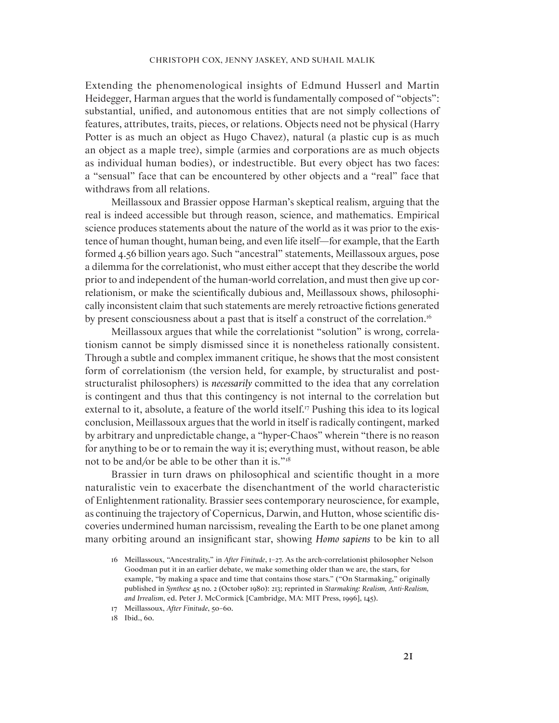Extending the phenomenological insights of Edmund Husserl and Martin Heidegger, Harman argues that the world is fundamentally composed of "objects": substantial, unified, and autonomous entities that are not simply collections of features, attributes, traits, pieces, or relations. Objects need not be physical (Harry Potter is as much an object as Hugo Chavez), natural (a plastic cup is as much an object as a maple tree), simple (armies and corporations are as much objects as individual human bodies), or indestructible. But every object has two faces: a "sensual" face that can be encountered by other objects and a "real" face that withdraws from all relations.

Meillassoux and Brassier oppose Harman's skeptical realism, arguing that the real is indeed accessible but through reason, science, and mathematics. Empirical science produces statements about the nature of the world as it was prior to the existence of human thought, human being, and even life itself—for example, that the Earth formed 4.56 billion years ago. Such "ancestral" statements, Meillassoux argues, pose a dilemma for the correlationist, who must either accept that they describe the world prior to and independent of the human-world correlation, and must then give up correlationism, or make the scientifically dubious and, Meillassoux shows, philosophically inconsistent claim that such statements are merely retroactive fictions generated by present consciousness about a past that is itself a construct of the correlation.<sup>16</sup>

Meillassoux argues that while the correlationist "solution" is wrong, correlationism cannot be simply dismissed since it is nonetheless rationally consistent. Through a subtle and complex immanent critique, he shows that the most consistent form of correlationism (the version held, for example, by structuralist and poststructuralist philosophers) is *necessarily* committed to the idea that any correlation is contingent and thus that this contingency is not internal to the correlation but external to it, absolute, a feature of the world itself.<sup>17</sup> Pushing this idea to its logical conclusion, Meillassoux argues that the world in itself is radically contingent, marked by arbitrary and unpredictable change, a "hyper-Chaos" wherein "there is no reason for anything to be or to remain the way it is; everything must, without reason, be able not to be and/or be able to be other than it is."18

Brassier in turn draws on philosophical and scientific thought in a more naturalistic vein to exacerbate the disenchantment of the world characteristic of Enlightenment rationality. Brassier sees contemporary neuroscience, for example, as continuing the trajectory of Copernicus, Darwin, and Hutton, whose scientific discoveries undermined human narcissism, revealing the Earth to be one planet among many orbiting around an insignificant star, showing *Homo sapiens* to be kin to all

<sup>16</sup> Meillassoux, "Ancestrality," in *After Finitude*, 1–27. As the arch-correlationist philosopher Nelson Goodman put it in an earlier debate, we make something older than we are, the stars, for example, "by making a space and time that contains those stars." ("On Starmaking," originally published in *Synthese* 45 no. 2 (October 1980): 213; reprinted in *Starmaking: Realism, Anti-Realism, and Irrealism*, ed. Peter J. McCormick [Cambridge, MA: MIT Press, 1996], 145).

<sup>17</sup> Meillassoux, *After Finitude*, 50–60.

<sup>18</sup> Ibid., 60.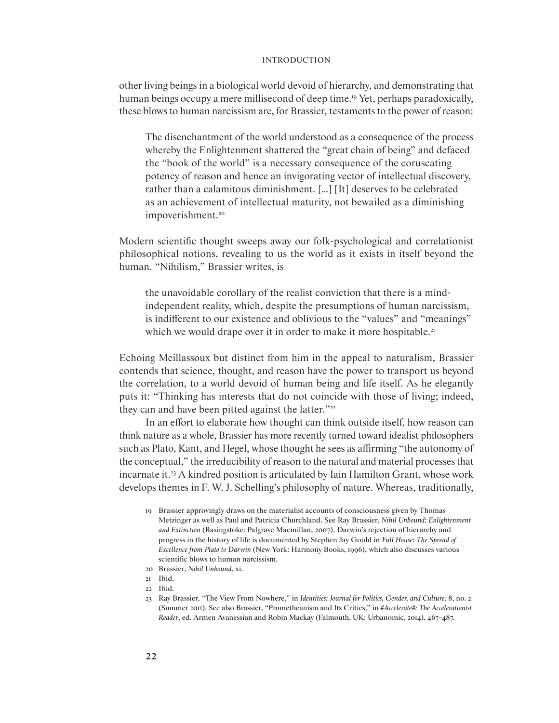other living beings in a biological world devoid of hierarchy, and demonstrating that human beings occupy a mere millisecond of deep time.<sup>19</sup> Yet, perhaps paradoxically, these blows to human narcissism are, for Brassier, testaments to the power of reason:

The disenchantment of the world understood as a consequence of the process whereby the Enlightenment shattered the "great chain of being" and defaced the "book of the world" is a necessary consequence of the coruscating potency of reason and hence an invigorating vector of intellectual discovery, rather than a calamitous diminishment. […] [It] deserves to be celebrated as an achievement of intellectual maturity, not bewailed as a diminishing impoverishment.<sup>20</sup>

Modern scientific thought sweeps away our folk-psychological and correlationist philosophical notions, revealing to us the world as it exists in itself beyond the human. "Nihilism," Brassier writes, is

the unavoidable corollary of the realist conviction that there is a mindindependent reality, which, despite the presumptions of human narcissism, is indifferent to our existence and oblivious to the "values" and "meanings" which we would drape over it in order to make it more hospitable.<sup>21</sup>

Echoing Meillassoux but distinct from him in the appeal to naturalism, Brassier contends that science, thought, and reason have the power to transport us beyond the correlation, to a world devoid of human being and life itself. As he elegantly puts it: "Thinking has interests that do not coincide with those of living; indeed, they can and have been pitted against the latter."22

In an effort to elaborate how thought can think outside itself, how reason can think nature as a whole, Brassier has more recently turned toward idealist philosophers such as Plato, Kant, and Hegel, whose thought he sees as affirming "the autonomy of the conceptual," the irreducibility of reason to the natural and material processes that incarnate it.23 A kindred position is articulated by Iain Hamilton Grant, whose work develops themes in F. W. J. Schelling's philosophy of nature. Whereas, traditionally,

20 Brassier, *Nihil Unbound*, xi.

<sup>19</sup> Brassier approvingly draws on the materialist accounts of consciousness given by Thomas Metzinger as well as Paul and Patricia Churchland. See Ray Brassier, *Nihil Unbound: Enlightenment and Extinction* (Basingstoke: Palgrave Macmillan, 2007). Darwin's rejection of hierarchy and progress in the history of life is documented by Stephen Jay Gould in *Full House: The Spread of Excellence from Plato to Darwin* (New York: Harmony Books, 1996), which also discusses various scientific blows to human narcissism.

<sup>21</sup> Ibid.

<sup>22</sup> Ibid.

<sup>23</sup> Ray Brassier, "The View From Nowhere," in *Identities: Journal for Politics, Gender, and Culture*, 8, no. 2 (Summer 2011). See also Brassier, "Prometheanism and Its Critics," in *#Accelerate#: The Accelerationist Reader*, ed. Armen Avanessian and Robin Mackay (Falmouth, UK: Urbanomic, 2014), 467–487.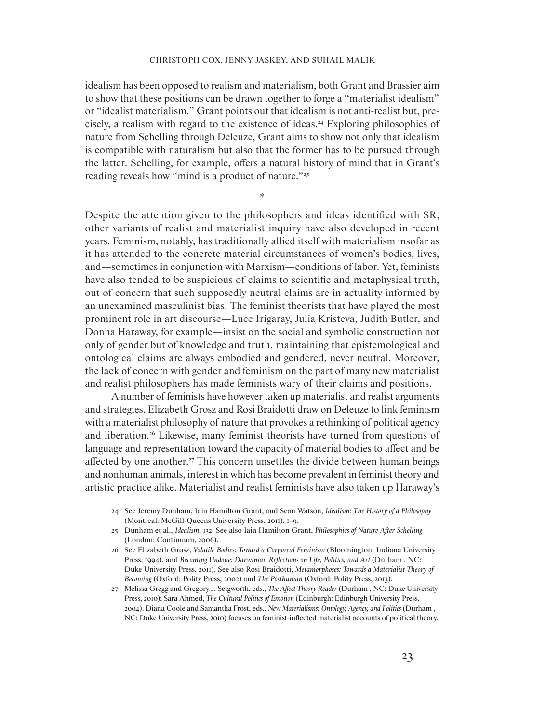idealism has been opposed to realism and materialism, both Grant and Brassier aim to show that these positions can be drawn together to forge a "materialist idealism" or "idealist materialism." Grant points out that idealism is not anti-realist but, precisely, a realism with regard to the existence of ideas.24 Exploring philosophies of nature from Schelling through Deleuze, Grant aims to show not only that idealism is compatible with naturalism but also that the former has to be pursued through the latter. Schelling, for example, offers a natural history of mind that in Grant's reading reveals how "mind is a product of nature."<sup>25</sup>

\*

Despite the attention given to the philosophers and ideas identified with SR, other variants of realist and materialist inquiry have also developed in recent years. Feminism, notably, has traditionally allied itself with materialism insofar as it has attended to the concrete material circumstances of women's bodies, lives, and—sometimes in conjunction with Marxism—conditions of labor. Yet, feminists have also tended to be suspicious of claims to scientific and metaphysical truth, out of concern that such supposedly neutral claims are in actuality informed by an unexamined masculinist bias. The feminist theorists that have played the most prominent role in art discourse—Luce Irigaray, Julia Kristeva, Judith Butler, and Donna Haraway, for example—insist on the social and symbolic construction not only of gender but of knowledge and truth, maintaining that epistemological and ontological claims are always embodied and gendered, never neutral. Moreover, the lack of concern with gender and feminism on the part of many new materialist and realist philosophers has made feminists wary of their claims and positions.

A number of feminists have however taken up materialist and realist arguments and strategies. Elizabeth Grosz and Rosi Braidotti draw on Deleuze to link feminism with a materialist philosophy of nature that provokes a rethinking of political agency and liberation.<sup>26</sup> Likewise, many feminist theorists have turned from questions of language and representation toward the capacity of material bodies to affect and be affected by one another.<sup>27</sup> This concern unsettles the divide between human beings and nonhuman animals, interest in which has become prevalent in feminist theory and artistic practice alike. Materialist and realist feminists have also taken up Haraway's

- 24 See Jeremy Dunham, Iain Hamilton Grant, and Sean Watson, *Idealism: The History of a Philosophy* (Montreal: McGill-Queens University Press, 2011), 1–9.
- 25 Dunham et al., *Idealism*, 132. See also Iain Hamilton Grant, *Philosophies of Nature After Schelling* (London: Continuum, 2006).
- 26 See Elizabeth Grosz, *Volatile Bodies: Toward a Corporeal Feminism* (Bloomington: Indiana University Press, 1994), and *Becoming Undone: Darwinian Re#ections on Life, Politics, and Art* (Durham , NC: Duke University Press, 2011). See also Rosi Braidotti, *Metamorphoses: Towards a Materialist Theory of Becoming* (Oxford: Polity Press, 2002) and *The Posthuman* (Oxford: Polity Press, 2013).
- 27 Melissa Gregg and Gregory J. Seigworth, eds., *The Affect Theory Reader* (Durham , NC: Duke University Press, 2010); Sara Ahmed, *The Cultural Politics of Emotion* (Edinburgh: Edinburgh University Press, 2004). Diana Coole and Samantha Frost, eds., *New Materialisms: Ontology, Agency, and Politics* (Durham , NC: Duke University Press, 2010) focuses on feminist-inflected materialist accounts of political theory.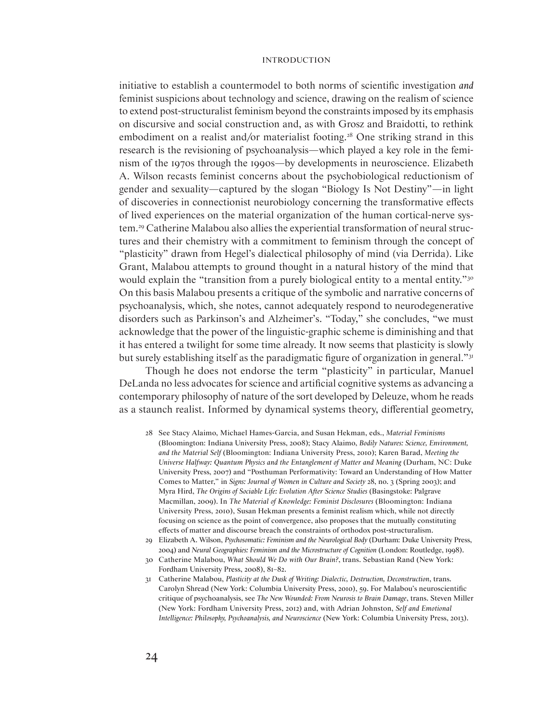initiative to establish a countermodel to both norms of scientific investigation and feminist suspicions about technology and science, drawing on the realism of science to extend post-structuralist feminism beyond the constraints imposed by its emphasis on discursive and social construction and, as with Grosz and Braidotti, to rethink embodiment on a realist and/or materialist footing.<sup>28</sup> One striking strand in this research is the revisioning of psychoanalysis—which played a key role in the feminism of the 1970s through the 1990s—by developments in neuroscience. Elizabeth A. Wilson recasts feminist concerns about the psychobiological reductionism of gender and sexuality—captured by the slogan "Biology Is Not Destiny"—in light of discoveries in connectionist neurobiology concerning the transformative effects of lived experiences on the material organization of the human cortical-nerve system.29 Catherine Malabou also allies the experiential transformation of neural structures and their chemistry with a commitment to feminism through the concept of "plasticity" drawn from Hegel's dialectical philosophy of mind (via Derrida). Like Grant, Malabou attempts to ground thought in a natural history of the mind that would explain the "transition from a purely biological entity to a mental entity."<sup>30</sup> On this basis Malabou presents a critique of the symbolic and narrative concerns of psychoanalysis, which, she notes, cannot adequately respond to neurodegenerative disorders such as Parkinson's and Alzheimer's. "Today," she concludes, "we must acknowledge that the power of the linguistic-graphic scheme is diminishing and that it has entered a twilight for some time already. It now seems that plasticity is slowly but surely establishing itself as the paradigmatic figure of organization in general."<sup>31</sup>

Though he does not endorse the term "plasticity" in particular, Manuel DeLanda no less advocates for science and artificial cognitive systems as advancing a contemporary philosophy of nature of the sort developed by Deleuze, whom he reads as a staunch realist. Informed by dynamical systems theory, differential geometry,

- 28 See Stacy Alaimo, Michael Hames-Garcia, and Susan Hekman, eds., *Material Feminisms* (Bloomington: Indiana University Press, 2008); Stacy Alaimo, *Bodily Natures: Science, Environment, and the Material Self* (Bloomington: Indiana University Press, 2010); Karen Barad, *Meeting the Universe Halfway: Quantum Physics and the Entanglement of Matter and Meaning* (Durham, NC: Duke University Press, 2007) and "Posthuman Performativity: Toward an Understanding of How Matter Comes to Matter," in *Signs: Journal of Women in Culture and Society* 28, no. 3 (Spring 2003); and Myra Hird, *The Origins of Sociable Life: Evolution After Science Studies* (Basingstoke: Palgrave Macmillan, 2009). In *The Material of Knowledge: Feminist Disclosures* (Bloomington: Indiana University Press, 2010), Susan Hekman presents a feminist realism which, while not directly focusing on science as the point of convergence, also proposes that the mutually constituting effects of matter and discourse breach the constraints of orthodox post-structuralism.
- 29 Elizabeth A. Wilson, *Psychosomatic: Feminism and the Neurological Body* (Durham: Duke University Press, 2004) and *Neural Geographies: Feminism and the Microstructure of Cognition* (London: Routledge, 1998).
- 30 Catherine Malabou, *What Should We Do with Our Brain?*, trans. Sebastian Rand (New York: Fordham University Press, 2008), 81–82.
- 31 Catherine Malabou, *Plasticity at the Dusk of Writing: Dialectic, Destruction, Deconstruction*, trans. Carolyn Shread (New York: Columbia University Press, 2010), 59. For Malabou's neuroscientific critique of psychoanalysis, see *The New Wounded: From Neurosis to Brain Damage*, trans. Steven Miller (New York: Fordham University Press, 2012) and, with Adrian Johnston, *Self and Emotional Intelligence: Philosophy, Psychoanalysis, and Neuroscience* (New York: Columbia University Press, 2013).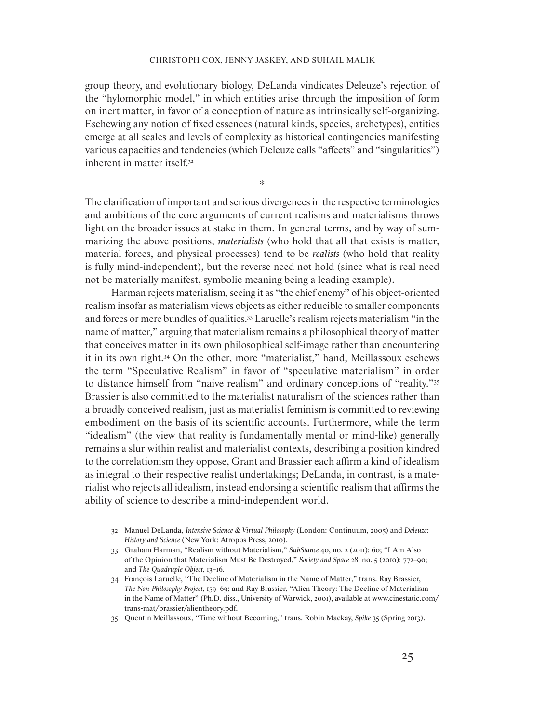group theory, and evolutionary biology, DeLanda vindicates Deleuze's rejection of the "hylomorphic model," in which entities arise through the imposition of form on inert matter, in favor of a conception of nature as intrinsically self-organizing. Eschewing any notion of fixed essences (natural kinds, species, archetypes), entities emerge at all scales and levels of complexity as historical contingencies manifesting various capacities and tendencies (which Deleuze calls "affects" and "singularities") inherent in matter itself.32

\*

The clarification of important and serious divergences in the respective terminologies and ambitions of the core arguments of current realisms and materialisms throws light on the broader issues at stake in them. In general terms, and by way of summarizing the above positions, *materialists* (who hold that all that exists is matter, material forces, and physical processes) tend to be *realists* (who hold that reality is fully mind-independent), but the reverse need not hold (since what is real need not be materially manifest, symbolic meaning being a leading example).

Harman rejects materialism, seeing it as "the chief enemy" of his object-oriented realism insofar as materialism views objects as either reducible to smaller components and forces or mere bundles of qualities.33 Laruelle's realism rejects materialism "in the name of matter," arguing that materialism remains a philosophical theory of matter that conceives matter in its own philosophical self-image rather than encountering it in its own right.34 On the other, more "materialist," hand, Meillassoux eschews the term "Speculative Realism" in favor of "speculative materialism" in order to distance himself from "naive realism" and ordinary conceptions of "reality."35 Brassier is also committed to the materialist naturalism of the sciences rather than a broadly conceived realism, just as materialist feminism is committed to reviewing embodiment on the basis of its scientific accounts. Furthermore, while the term "idealism" (the view that reality is fundamentally mental or mind-like) generally remains a slur within realist and materialist contexts, describing a position kindred to the correlationism they oppose, Grant and Brassier each affirm a kind of idealism as integral to their respective realist undertakings; DeLanda, in contrast, is a materialist who rejects all idealism, instead endorsing a scientific realism that affirms the ability of science to describe a mind-independent world.

- 32 Manuel DeLanda, *Intensive Science & Virtual Philosophy* (London: Continuum, 2005) and *Deleuze: History and Science* (New York: Atropos Press, 2010).
- 33 Graham Harman, "Realism without Materialism," *SubStance* 40, no. 2 (2011): 60; "I Am Also of the Opinion that Materialism Must Be Destroyed," *Society and Space* 28, no. 5 (2010): 772–90; and *The Quadruple Object*, 13–16.
- 34 François Laruelle, "The Decline of Materialism in the Name of Matter," trans. Ray Brassier, *The Non-Philosophy Project*, 159–69; and Ray Brassier, "Alien Theory: The Decline of Materialism in the Name of Matter" (Ph.D. diss., University of Warwick, 2001), available at www.cinestatic.com/ trans-mat/brassier/alientheory.pdf.
- 35 Quentin Meillassoux, "Time without Becoming," trans. Robin Mackay, *Spike* 35 (Spring 2013).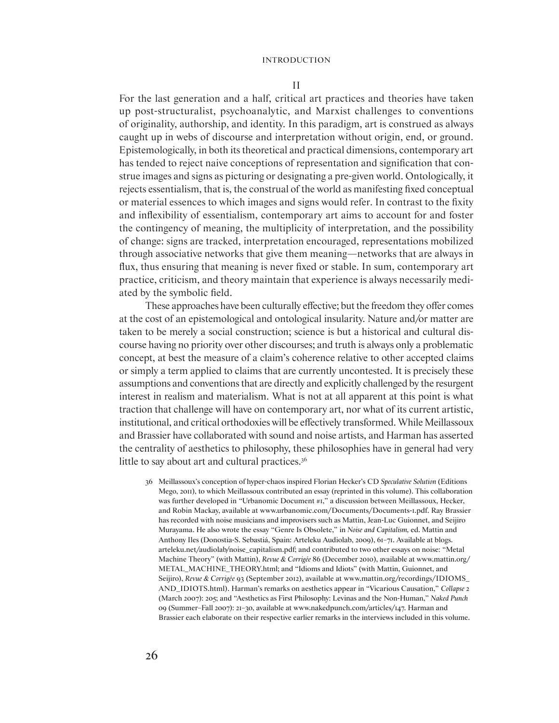For the last generation and a half, critical art practices and theories have taken up post-structuralist, psychoanalytic, and Marxist challenges to conventions of originality, authorship, and identity. In this paradigm, art is construed as always caught up in webs of discourse and interpretation without origin, end, or ground. Epistemologically, in both its theoretical and practical dimensions, contemporary art has tended to reject naive conceptions of representation and signification that construe images and signs as picturing or designating a pre-given world. Ontologically, it rejects essentialism, that is, the construal of the world as manifesting fixed conceptual or material essences to which images and signs would refer. In contrast to the fixity and inflexibility of essentialism, contemporary art aims to account for and foster the contingency of meaning, the multiplicity of interpretation, and the possibility of change: signs are tracked, interpretation encouraged, representations mobilized through associative networks that give them meaning—networks that are always in flux, thus ensuring that meaning is never fixed or stable. In sum, contemporary art practice, criticism, and theory maintain that experience is always necessarily mediated by the symbolic field.

These approaches have been culturally effective; but the freedom they offer comes at the cost of an epistemological and ontological insularity. Nature and/or matter are taken to be merely a social construction; science is but a historical and cultural discourse having no priority over other discourses; and truth is always only a problematic concept, at best the measure of a claim's coherence relative to other accepted claims or simply a term applied to claims that are currently uncontested. It is precisely these assumptions and conventions that are directly and explicitly challenged by the resurgent interest in realism and materialism. What is not at all apparent at this point is what traction that challenge will have on contemporary art, nor what of its current artistic, institutional, and critical orthodoxies will be effectively transformed. While Meillassoux and Brassier have collaborated with sound and noise artists, and Harman has asserted the centrality of aesthetics to philosophy, these philosophies have in general had very little to say about art and cultural practices.36

36 Meillassoux's conception of hyper-chaos inspired Florian Hecker's CD *Speculative Solution* (Editions Mego, 2011), to which Meillassoux contributed an essay (reprinted in this volume). This collaboration was further developed in "Urbanomic Document #1," a discussion between Meillassoux, Hecker, and Robin Mackay, available at www.urbanomic.com/Documents/Documents-1.pdf. Ray Brassier has recorded with noise musicians and improvisers such as Mattin, Jean-Luc Guionnet, and Seijiro Murayama. He also wrote the essay "Genre Is Obsolete," in *Noise and Capitalism,* ed. Mattin and Anthony Iles (Donostia-S. Sebastiá, Spain: Arteleku Audiolab, 2009), 61–71. Available at blogs. arteleku.net/audiolab/noise\_capitalism.pdf; and contributed to two other essays on noise: "Metal Machine Theory" (with Mattin), *Revue & Corrigée* 86 (December 2010), available at www.mattin.org/ METAL\_MACHINE\_THEORY.html; and "Idioms and Idiots" (with Mattin, Guionnet, and Seijiro), *Revue & Corrigée* 93 (September 2012), available at www.mattin.org/recordings/IDIOMS\_ AND\_IDIOTS.html). Harman's remarks on aesthetics appear in "Vicarious Causation," *Collapse* 2 (March 2007): 205; and "Aesthetics as First Philosophy: Levinas and the Non-Human," *Naked Punch* 09 (Summer–Fall 2007): 21–30, available at www.nakedpunch.com/articles/147. Harman and Brassier each elaborate on their respective earlier remarks in the interviews included in this volume.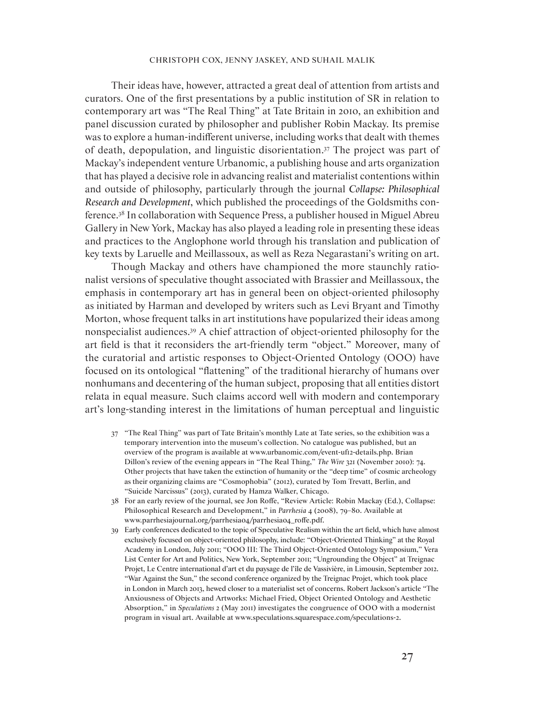Their ideas have, however, attracted a great deal of attention from artists and curators. One of the first presentations by a public institution of SR in relation to contemporary art was "The Real Thing" at Tate Britain in 2010, an exhibition and panel discussion curated by philosopher and publisher Robin Mackay. Its premise was to explore a human-indifferent universe, including works that dealt with themes of death, depopulation, and linguistic disorientation.37 The project was part of Mackay's independent venture Urbanomic, a publishing house and arts organization that has played a decisive role in advancing realist and materialist contentions within and outside of philosophy, particularly through the journal *Collapse: Philosophical Research and Development*, which published the proceedings of the Goldsmiths conference.38 In collaboration with Sequence Press, a publisher housed in Miguel Abreu Gallery in New York, Mackay has also played a leading role in presenting these ideas and practices to the Anglophone world through his translation and publication of key texts by Laruelle and Meillassoux, as well as Reza Negarastani's writing on art.

Though Mackay and others have championed the more staunchly rationalist versions of speculative thought associated with Brassier and Meillassoux, the emphasis in contemporary art has in general been on object-oriented philosophy as initiated by Harman and developed by writers such as Levi Bryant and Timothy Morton, whose frequent talks in art institutions have popularized their ideas among nonspecialist audiences.39 A chief attraction of object-oriented philosophy for the art field is that it reconsiders the art-friendly term "object." Moreover, many of the curatorial and artistic responses to Object-Oriented Ontology (OOO) have focused on its ontological "flattening" of the traditional hierarchy of humans over nonhumans and decentering of the human subject, proposing that all entities distort relata in equal measure. Such claims accord well with modern and contemporary art's long-standing interest in the limitations of human perceptual and linguistic

- 37 "The Real Thing" was part of Tate Britain's monthly Late at Tate series, so the exhibition was a temporary intervention into the museum's collection. No catalogue was published, but an overview of the program is available at www.urbanomic.com/event-uf12-details.php. Brian Dillon's review of the evening appears in "The Real Thing," *The Wire* 321 (November 2010): 74. Other projects that have taken the extinction of humanity or the "deep time" of cosmic archeology as their organizing claims are "Cosmophobia" (2012), curated by Tom Trevatt, Berlin, and "Suicide Narcissus" (2013), curated by Hamza Walker, Chicago.
- 38 For an early review of the journal, see Jon Roffe, "Review Article: Robin Mackay (Ed.), Collapse: Philosophical Research and Development," in *Parrhesia* 4 (2008), 79–80. Available at www.parrhesiajournal.org/parrhesia04/parrhesia04\_roffe.pdf.
- 39 Early conferences dedicated to the topic of Speculative Realism within the art field, which have almost exclusively focused on object-oriented philosophy, include: "Object-Oriented Thinking" at the Royal Academy in London, July 2011; "OOO III: The Third Object-Oriented Ontology Symposium," Vera List Center for Art and Politics, New York, September 2011; "Ungrounding the Object" at Treignac Projet, Le Centre international d'art et du paysage de l'île de Vassivière, in Limousin, September 2012. "War Against the Sun," the second conference organized by the Treignac Projet, which took place in London in March 2013, hewed closer to a materialist set of concerns. Robert Jackson's article "The Anxiousness of Objects and Artworks: Michael Fried, Object Oriented Ontology and Aesthetic Absorption," in *Speculations* 2 (May 2011) investigates the congruence of OOO with a modernist program in visual art. Available at www.speculations.squarespace.com/speculations-2.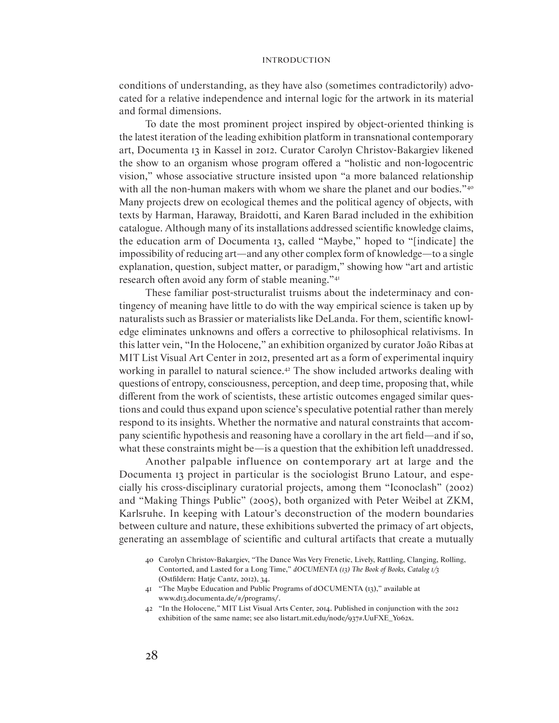conditions of understanding, as they have also (sometimes contradictorily) advocated for a relative independence and internal logic for the artwork in its material and formal dimensions.

To date the most prominent project inspired by object-oriented thinking is the latest iteration of the leading exhibition platform in transnational contemporary art, Documenta 13 in Kassel in 2012. Curator Carolyn Christov-Bakargiev likened the show to an organism whose program offered a "holistic and non-logocentric vision," whose associative structure insisted upon "a more balanced relationship with all the non-human makers with whom we share the planet and our bodies."<sup>40</sup> Many projects drew on ecological themes and the political agency of objects, with texts by Harman, Haraway, Braidotti, and Karen Barad included in the exhibition catalogue. Although many of its installations addressed scientific knowledge claims, the education arm of Documenta 13, called "Maybe," hoped to "[indicate] the impossibility of reducing art—and any other complex form of knowledge—to a single explanation, question, subject matter, or paradigm," showing how "art and artistic research often avoid any form of stable meaning."41

These familiar post-structuralist truisms about the indeterminacy and contingency of meaning have little to do with the way empirical science is taken up by naturalists such as Brassier or materialists like DeLanda. For them, scientific knowledge eliminates unknowns and offers a corrective to philosophical relativisms. In this latter vein, "In the Holocene," an exhibition organized by curator João Ribas at MIT List Visual Art Center in 2012, presented art as a form of experimental inquiry working in parallel to natural science.<sup>42</sup> The show included artworks dealing with questions of entropy, consciousness, perception, and deep time, proposing that, while different from the work of scientists, these artistic outcomes engaged similar questions and could thus expand upon science's speculative potential rather than merely respond to its insights. Whether the normative and natural constraints that accompany scientific hypothesis and reasoning have a corollary in the art field—and if so, what these constraints might be—is a question that the exhibition left unaddressed.

Another palpable influence on contemporary art at large and the Documenta 13 project in particular is the sociologist Bruno Latour, and especially his cross-disciplinary curatorial projects, among them "Iconoclash" (2002) and "Making Things Public" (2005), both organized with Peter Weibel at ZKM, Karlsruhe. In keeping with Latour's deconstruction of the modern boundaries between culture and nature, these exhibitions subverted the primacy of art objects, generating an assemblage of scientific and cultural artifacts that create a mutually

<sup>40</sup> Carolyn Christov-Bakargiev, "The Dance Was Very Frenetic, Lively, Rattling, Clanging, Rolling, Contorted, and Lasted for a Long Time," *dOCUMENTA (13) The Book of Books, Catalog 1/3*  (Ostfildern: Hatje Cantz, 2012), 34.

<sup>41</sup> "The Maybe Education and Public Programs of dOCUMENTA (13)," available at www.d13.documenta.de/#/programs/.

<sup>42</sup> "In the Holocene*,"* MIT List Visual Arts Center, 2014. Published in conjunction with the 2012 exhibition of the same name; see also listart.mit.edu/node/937#.UuFXE\_Yo62x.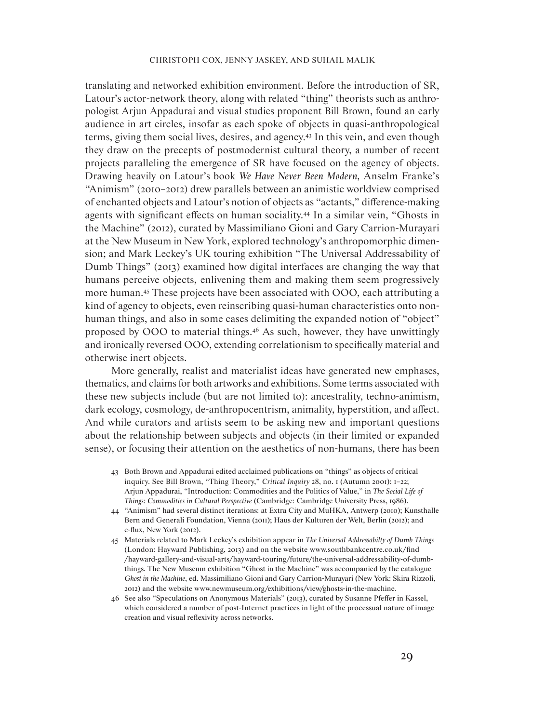translating and networked exhibition environment. Before the introduction of SR, Latour's actor-network theory, along with related "thing" theorists such as anthropologist Arjun Appadurai and visual studies proponent Bill Brown, found an early audience in art circles, insofar as each spoke of objects in quasi-anthropological terms, giving them social lives, desires, and agency.43 In this vein, and even though they draw on the precepts of postmodernist cultural theory, a number of recent projects paralleling the emergence of SR have focused on the agency of objects. Drawing heavily on Latour's book *We Have Never Been Modern,* Anselm Franke's "Animism" (2010–2012) drew parallels between an animistic worldview comprised of enchanted objects and Latour's notion of objects as "actants," difference-making agents with significant effects on human sociality.<sup>44</sup> In a similar vein, "Ghosts in the Machine" (2012), curated by Massimiliano Gioni and Gary Carrion-Murayari at the New Museum in New York, explored technology's anthropomorphic dimension; and Mark Leckey's UK touring exhibition "The Universal Addressability of Dumb Things" (2013) examined how digital interfaces are changing the way that humans perceive objects, enlivening them and making them seem progressively more human.45 These projects have been associated with OOO, each attributing a kind of agency to objects, even reinscribing quasi-human characteristics onto nonhuman things, and also in some cases delimiting the expanded notion of "object" proposed by OOO to material things.46 As such, however, they have unwittingly and ironically reversed OOO, extending correlationism to specifically material and otherwise inert objects.

More generally, realist and materialist ideas have generated new emphases, thematics, and claims for both artworks and exhibitions. Some terms associated with these new subjects include (but are not limited to): ancestrality, techno-animism, dark ecology, cosmology, de-anthropocentrism, animality, hyperstition, and affect. And while curators and artists seem to be asking new and important questions about the relationship between subjects and objects (in their limited or expanded sense), or focusing their attention on the aesthetics of non-humans, there has been

- 43 Both Brown and Appadurai edited acclaimed publications on "things" as objects of critical inquiry. See Bill Brown, "Thing Theory," *Critical Inquiry* 28, no. 1 (Autumn 2001): 1–22; Arjun Appadurai, "Introduction: Commodities and the Politics of Value," in *The Social Life of Things: Commodities in Cultural Perspective* (Cambridge: Cambridge University Press, 1986).
- 44 "Animism" had several distinct iterations: at Extra City and MuHKA, Antwerp (2010); Kunsthalle Bern and Generali Foundation, Vienna (2011); Haus der Kulturen der Welt, Berlin (2012); and e-flux, New York (2012).
- 45 Materials related to Mark Leckey's exhibition appear in *The Universal Addressabilty of Dumb Things*  (London: Hayward Publishing, 2013) and on the website www.southbankcentre.co.uk/%nd /hayward-gallery-and-visual-arts/hayward-touring/future/the-universal-addressability-of-dumbthings. The New Museum exhibition "Ghost in the Machine" was accompanied by the catalogue *Ghost in the Machine*, ed. Massimiliano Gioni and Gary Carrion-Murayari (New York: Skira Rizzoli, 2012) and the website www.newmuseum.org/exhibitions/view/ghosts-in-the-machine.
- 46 See also "Speculations on Anonymous Materials" (2013), curated by Susanne Pfeffer in Kassel, which considered a number of post-Internet practices in light of the processual nature of image creation and visual reflexivity across networks.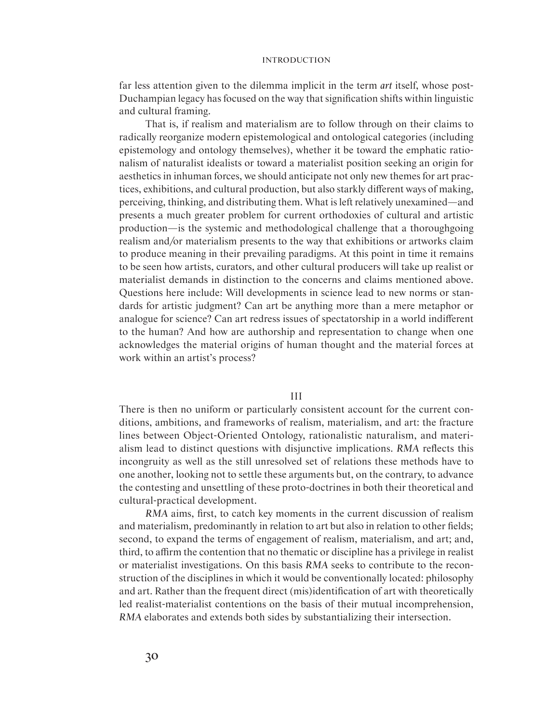far less attention given to the dilemma implicit in the term *art* itself, whose post-Duchampian legacy has focused on the way that signification shifts within linguistic and cultural framing.

That is, if realism and materialism are to follow through on their claims to radically reorganize modern epistemological and ontological categories (including epistemology and ontology themselves), whether it be toward the emphatic rationalism of naturalist idealists or toward a materialist position seeking an origin for aesthetics in inhuman forces, we should anticipate not only new themes for art practices, exhibitions, and cultural production, but also starkly different ways of making, perceiving, thinking, and distributing them. What is left relatively unexamined—and presents a much greater problem for current orthodoxies of cultural and artistic production—is the systemic and methodological challenge that a thoroughgoing realism and/or materialism presents to the way that exhibitions or artworks claim to produce meaning in their prevailing paradigms. At this point in time it remains to be seen how artists, curators, and other cultural producers will take up realist or materialist demands in distinction to the concerns and claims mentioned above. Questions here include: Will developments in science lead to new norms or standards for artistic judgment? Can art be anything more than a mere metaphor or analogue for science? Can art redress issues of spectatorship in a world indifferent to the human? And how are authorship and representation to change when one acknowledges the material origins of human thought and the material forces at work within an artist's process?

### III

There is then no uniform or particularly consistent account for the current conditions, ambitions, and frameworks of realism, materialism, and art: the fracture lines between Object-Oriented Ontology, rationalistic naturalism, and materialism lead to distinct questions with disjunctive implications. *RMA* reflects this incongruity as well as the still unresolved set of relations these methods have to one another, looking not to settle these arguments but, on the contrary, to advance the contesting and unsettling of these proto-doctrines in both their theoretical and cultural-practical development.

*RMA* aims, first, to catch key moments in the current discussion of realism and materialism, predominantly in relation to art but also in relation to other fields; second, to expand the terms of engagement of realism, materialism, and art; and, third, to affirm the contention that no thematic or discipline has a privilege in realist or materialist investigations. On this basis *RMA* seeks to contribute to the reconstruction of the disciplines in which it would be conventionally located: philosophy and art. Rather than the frequent direct (mis)identification of art with theoretically led realist-materialist contentions on the basis of their mutual incomprehension, *RMA* elaborates and extends both sides by substantializing their intersection.